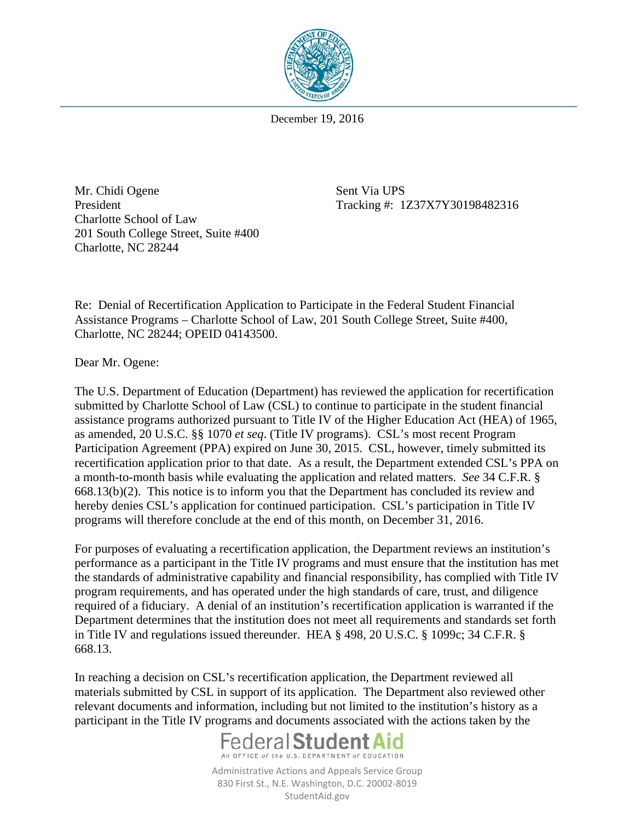

December 19, 2016

Mr. Chidi Ogene Sent Via UPS President Tracking #: 1Z37X7Y30198482316 Charlotte School of Law 201 South College Street, Suite #400 Charlotte, NC 28244

Re: Denial of Recertification Application to Participate in the Federal Student Financial Assistance Programs – Charlotte School of Law, 201 South College Street, Suite #400, Charlotte, NC 28244; OPEID 04143500.

Dear Mr. Ogene:

The U.S. Department of Education (Department) has reviewed the application for recertification submitted by Charlotte School of Law (CSL) to continue to participate in the student financial assistance programs authorized pursuant to Title IV of the Higher Education Act (HEA) of 1965, as amended, 20 U.S.C. §§ 1070 *et seq*. (Title IV programs). CSL's most recent Program Participation Agreement (PPA) expired on June 30, 2015. CSL, however, timely submitted its recertification application prior to that date. As a result, the Department extended CSL's PPA on a month-to-month basis while evaluating the application and related matters. *See* 34 C.F.R. § 668.13(b)(2). This notice is to inform you that the Department has concluded its review and hereby denies CSL's application for continued participation. CSL's participation in Title IV programs will therefore conclude at the end of this month, on December 31, 2016.

For purposes of evaluating a recertification application, the Department reviews an institution's performance as a participant in the Title IV programs and must ensure that the institution has met the standards of administrative capability and financial responsibility, has complied with Title IV program requirements, and has operated under the high standards of care, trust, and diligence required of a fiduciary. A denial of an institution's recertification application is warranted if the Department determines that the institution does not meet all requirements and standards set forth in Title IV and regulations issued thereunder. HEA § 498, 20 U.S.C. § 1099c; 34 C.F.R. § 668.13.

In reaching a decision on CSL's recertification application, the Department reviewed all materials submitted by CSL in support of its application. The Department also reviewed other relevant documents and information, including but not limited to the institution's history as a participant in the Title IV programs and documents associated with the actions taken by the



Administrative Actions and Appeals Service Group 830 First St., N.E. Washington, D.C. 20002-8019 StudentAid.gov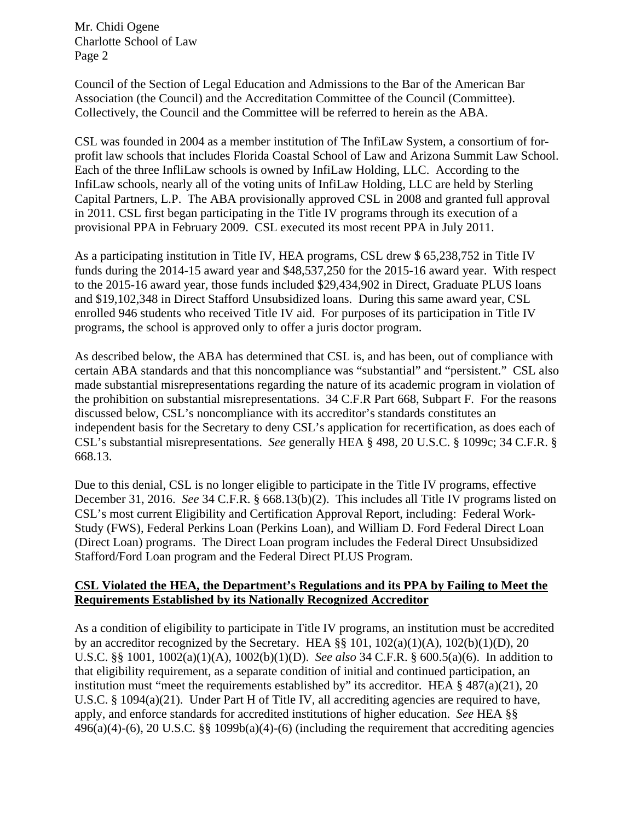Council of the Section of Legal Education and Admissions to the Bar of the American Bar Association (the Council) and the Accreditation Committee of the Council (Committee). Collectively, the Council and the Committee will be referred to herein as the ABA.

CSL was founded in 2004 as a member institution of The InfiLaw System, a consortium of forprofit law schools that includes Florida Coastal School of Law and Arizona Summit Law School. Each of the three InfliLaw schools is owned by InfiLaw Holding, LLC. According to the InfiLaw schools, nearly all of the voting units of InfiLaw Holding, LLC are held by Sterling Capital Partners, L.P. The ABA provisionally approved CSL in 2008 and granted full approval in 2011. CSL first began participating in the Title IV programs through its execution of a provisional PPA in February 2009. CSL executed its most recent PPA in July 2011.

As a participating institution in Title IV, HEA programs, CSL drew \$ 65,238,752 in Title IV funds during the 2014-15 award year and \$48,537,250 for the 2015-16 award year. With respect to the 2015-16 award year, those funds included \$29,434,902 in Direct, Graduate PLUS loans and \$19,102,348 in Direct Stafford Unsubsidized loans. During this same award year, CSL enrolled 946 students who received Title IV aid. For purposes of its participation in Title IV programs, the school is approved only to offer a juris doctor program.

As described below, the ABA has determined that CSL is, and has been, out of compliance with certain ABA standards and that this noncompliance was "substantial" and "persistent." CSL also made substantial misrepresentations regarding the nature of its academic program in violation of the prohibition on substantial misrepresentations. 34 C.F.R Part 668, Subpart F. For the reasons discussed below, CSL's noncompliance with its accreditor's standards constitutes an independent basis for the Secretary to deny CSL's application for recertification, as does each of CSL's substantial misrepresentations. *See* generally HEA § 498, 20 U.S.C. § 1099c; 34 C.F.R. § 668.13.

Due to this denial, CSL is no longer eligible to participate in the Title IV programs, effective December 31, 2016. *See* 34 C.F.R. § 668.13(b)(2). This includes all Title IV programs listed on CSL's most current Eligibility and Certification Approval Report, including: Federal Work-Study (FWS), Federal Perkins Loan (Perkins Loan), and William D. Ford Federal Direct Loan (Direct Loan) programs. The Direct Loan program includes the Federal Direct Unsubsidized Stafford/Ford Loan program and the Federal Direct PLUS Program.

## **CSL Violated the HEA, the Department's Regulations and its PPA by Failing to Meet the Requirements Established by its Nationally Recognized Accreditor**

As a condition of eligibility to participate in Title IV programs, an institution must be accredited by an accreditor recognized by the Secretary. HEA  $\S$ § 101, 102(a)(1)(A), 102(b)(1)(D), 20 U.S.C. §§ 1001, 1002(a)(1)(A), 1002(b)(1)(D). *See also* 34 C.F.R. § 600.5(a)(6). In addition to that eligibility requirement, as a separate condition of initial and continued participation, an institution must "meet the requirements established by" its accreditor. HEA  $\S$  487(a)(21), 20 U.S.C. § 1094(a)(21). Under Part H of Title IV, all accrediting agencies are required to have, apply, and enforce standards for accredited institutions of higher education. *See* HEA §§ 496(a)(4)-(6), 20 U.S.C. §§ 1099b(a)(4)-(6) (including the requirement that accrediting agencies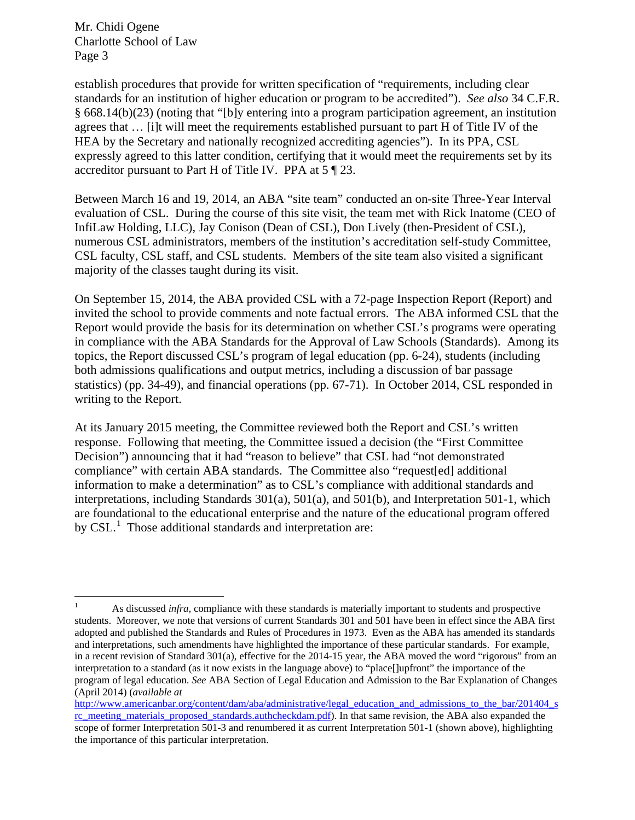establish procedures that provide for written specification of "requirements, including clear standards for an institution of higher education or program to be accredited"). *See also* 34 C.F.R. § 668.14(b)(23) (noting that "[b]y entering into a program participation agreement, an institution agrees that … [i]t will meet the requirements established pursuant to part H of Title IV of the HEA by the Secretary and nationally recognized accrediting agencies"). In its PPA, CSL expressly agreed to this latter condition, certifying that it would meet the requirements set by its accreditor pursuant to Part H of Title IV. PPA at 5 ¶ 23.

Between March 16 and 19, 2014, an ABA "site team" conducted an on-site Three-Year Interval evaluation of CSL. During the course of this site visit, the team met with Rick Inatome (CEO of InfiLaw Holding, LLC), Jay Conison (Dean of CSL), Don Lively (then-President of CSL), numerous CSL administrators, members of the institution's accreditation self-study Committee, CSL faculty, CSL staff, and CSL students. Members of the site team also visited a significant majority of the classes taught during its visit.

On September 15, 2014, the ABA provided CSL with a 72-page Inspection Report (Report) and invited the school to provide comments and note factual errors. The ABA informed CSL that the Report would provide the basis for its determination on whether CSL's programs were operating in compliance with the ABA Standards for the Approval of Law Schools (Standards). Among its topics, the Report discussed CSL's program of legal education (pp. 6-24), students (including both admissions qualifications and output metrics, including a discussion of bar passage statistics) (pp. 34-49), and financial operations (pp. 67-71). In October 2014, CSL responded in writing to the Report.

At its January 2015 meeting, the Committee reviewed both the Report and CSL's written response. Following that meeting, the Committee issued a decision (the "First Committee Decision") announcing that it had "reason to believe" that CSL had "not demonstrated compliance" with certain ABA standards. The Committee also "request[ed] additional information to make a determination" as to CSL's compliance with additional standards and interpretations, including Standards 301(a), 501(a), and 501(b), and Interpretation 501-1, which are foundational to the educational enterprise and the nature of the educational program offered by CSL.<sup>[1](#page-2-0)</sup> Those additional standards and interpretation are:

<span id="page-2-0"></span><sup>&</sup>lt;sup>1</sup> As discussed *infra*, compliance with these standards is materially important to students and prospective students. Moreover, we note that versions of current Standards 301 and 501 have been in effect since the ABA first adopted and published the Standards and Rules of Procedures in 1973. Even as the ABA has amended its standards and interpretations, such amendments have highlighted the importance of these particular standards. For example, in a recent revision of Standard 301(a), effective for the 2014-15 year, the ABA moved the word "rigorous" from an interpretation to a standard (as it now exists in the language above) to "place[]upfront" the importance of the program of legal education. *See* ABA Section of Legal Education and Admission to the Bar Explanation of Changes (April 2014) (*available at* 

[http://www.americanbar.org/content/dam/aba/administrative/legal\\_education\\_and\\_admissions\\_to\\_the\\_bar/201404\\_s](http://www.americanbar.org/content/dam/aba/administrative/legal_education_and_admissions_to_the_bar/201404_src_meeting_materials_proposed_standards.authcheckdam.pdf) [rc\\_meeting\\_materials\\_proposed\\_standards.authcheckdam.pdf\)](http://www.americanbar.org/content/dam/aba/administrative/legal_education_and_admissions_to_the_bar/201404_src_meeting_materials_proposed_standards.authcheckdam.pdf). In that same revision, the ABA also expanded the scope of former Interpretation 501-3 and renumbered it as current Interpretation 501-1 (shown above), highlighting the importance of this particular interpretation.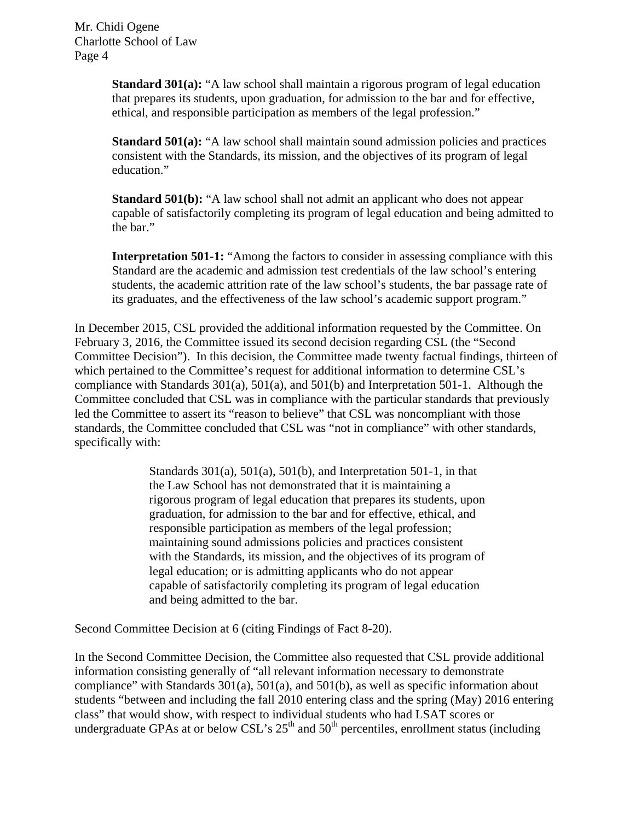> **Standard 301(a):** "A law school shall maintain a rigorous program of legal education that prepares its students, upon graduation, for admission to the bar and for effective, ethical, and responsible participation as members of the legal profession."

**Standard 501(a):** "A law school shall maintain sound admission policies and practices consistent with the Standards, its mission, and the objectives of its program of legal education."

**Standard 501(b):** "A law school shall not admit an applicant who does not appear capable of satisfactorily completing its program of legal education and being admitted to the bar."

**Interpretation 501-1:** "Among the factors to consider in assessing compliance with this Standard are the academic and admission test credentials of the law school's entering students, the academic attrition rate of the law school's students, the bar passage rate of its graduates, and the effectiveness of the law school's academic support program."

In December 2015, CSL provided the additional information requested by the Committee. On February 3, 2016, the Committee issued its second decision regarding CSL (the "Second Committee Decision"). In this decision, the Committee made twenty factual findings, thirteen of which pertained to the Committee's request for additional information to determine CSL's compliance with Standards 301(a), 501(a), and 501(b) and Interpretation 501-1. Although the Committee concluded that CSL was in compliance with the particular standards that previously led the Committee to assert its "reason to believe" that CSL was noncompliant with those standards, the Committee concluded that CSL was "not in compliance" with other standards, specifically with:

> Standards  $301(a)$ ,  $501(a)$ ,  $501(b)$ , and Interpretation  $501-1$ , in that the Law School has not demonstrated that it is maintaining a rigorous program of legal education that prepares its students, upon graduation, for admission to the bar and for effective, ethical, and responsible participation as members of the legal profession; maintaining sound admissions policies and practices consistent with the Standards, its mission, and the objectives of its program of legal education; or is admitting applicants who do not appear capable of satisfactorily completing its program of legal education and being admitted to the bar.

Second Committee Decision at 6 (citing Findings of Fact 8-20).

In the Second Committee Decision, the Committee also requested that CSL provide additional information consisting generally of "all relevant information necessary to demonstrate compliance" with Standards 301(a), 501(a), and 501(b), as well as specific information about students "between and including the fall 2010 entering class and the spring (May) 2016 entering class" that would show, with respect to individual students who had LSAT scores or undergraduate GPAs at or below CSL's  $25<sup>th</sup>$  and  $50<sup>th</sup>$  percentiles, enrollment status (including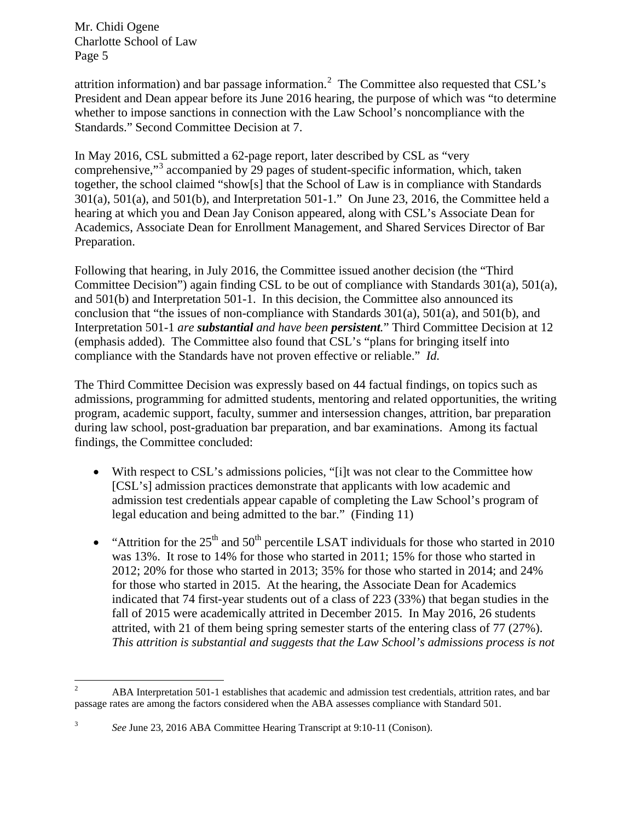attrition information) and bar passage information.<sup>[2](#page-4-0)</sup> The Committee also requested that CSL's President and Dean appear before its June 2016 hearing, the purpose of which was "to determine whether to impose sanctions in connection with the Law School's noncompliance with the Standards." Second Committee Decision at 7.

In May 2016, CSL submitted a 62-page report, later described by CSL as "very comprehensive,"<sup>[3](#page-4-1)</sup> accompanied by 29 pages of student-specific information, which, taken together, the school claimed "show[s] that the School of Law is in compliance with Standards 301(a), 501(a), and 501(b), and Interpretation 501-1." On June 23, 2016, the Committee held a hearing at which you and Dean Jay Conison appeared, along with CSL's Associate Dean for Academics, Associate Dean for Enrollment Management, and Shared Services Director of Bar Preparation.

Following that hearing, in July 2016, the Committee issued another decision (the "Third Committee Decision") again finding CSL to be out of compliance with Standards 301(a), 501(a), and 501(b) and Interpretation 501-1. In this decision, the Committee also announced its conclusion that "the issues of non-compliance with Standards 301(a), 501(a), and 501(b), and Interpretation 501-1 *are substantial and have been persistent.*" Third Committee Decision at 12 (emphasis added). The Committee also found that CSL's "plans for bringing itself into compliance with the Standards have not proven effective or reliable." *Id.*

The Third Committee Decision was expressly based on 44 factual findings, on topics such as admissions, programming for admitted students, mentoring and related opportunities, the writing program, academic support, faculty, summer and intersession changes, attrition, bar preparation during law school, post-graduation bar preparation, and bar examinations. Among its factual findings, the Committee concluded:

- With respect to CSL's admissions policies, "[i]t was not clear to the Committee how [CSL's] admission practices demonstrate that applicants with low academic and admission test credentials appear capable of completing the Law School's program of legal education and being admitted to the bar." (Finding 11)
- "Attrition for the  $25<sup>th</sup>$  and  $50<sup>th</sup>$  percentile LSAT individuals for those who started in 2010 was 13%. It rose to 14% for those who started in 2011; 15% for those who started in 2012; 20% for those who started in 2013; 35% for those who started in 2014; and 24% for those who started in 2015. At the hearing, the Associate Dean for Academics indicated that 74 first-year students out of a class of 223 (33%) that began studies in the fall of 2015 were academically attrited in December 2015. In May 2016, 26 students attrited, with 21 of them being spring semester starts of the entering class of 77 (27%). *This attrition is substantial and suggests that the Law School's admissions process is not*

<span id="page-4-0"></span><sup>&</sup>lt;sup>2</sup> ABA Interpretation 501-1 establishes that academic and admission test credentials, attrition rates, and bar passage rates are among the factors considered when the ABA assesses compliance with Standard 501.

<span id="page-4-1"></span><sup>3</sup> *See* June 23, 2016 ABA Committee Hearing Transcript at 9:10-11 (Conison).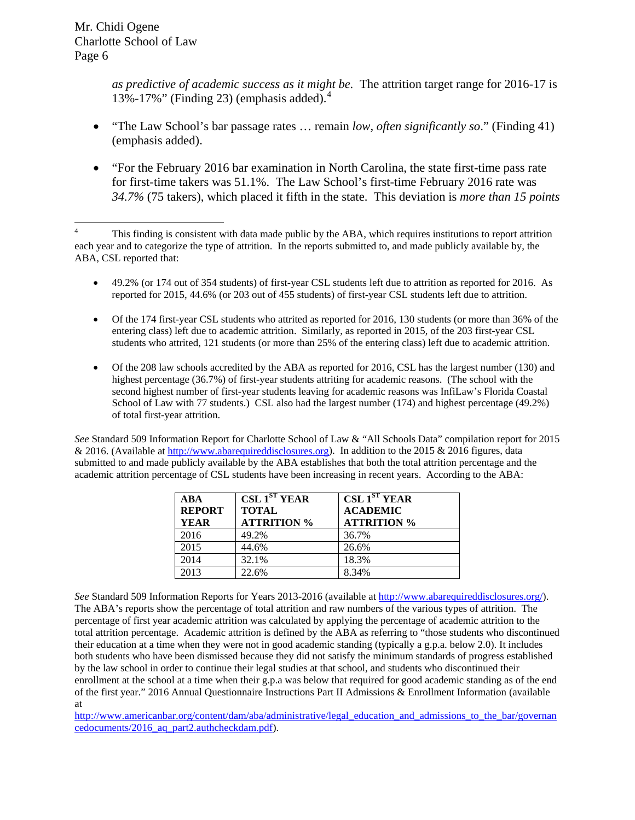*as predictive of academic success as it might be.* The attrition target range for 2016-17 is 13%-17%" (Finding 23) (emphasis added). $4$ 

- "The Law School's bar passage rates … remain *low, often significantly so*." (Finding 41) (emphasis added).
- "For the February 2016 bar examination in North Carolina, the state first-time pass rate for first-time takers was 51.1%. The Law School's first-time February 2016 rate was *34.7%* (75 takers), which placed it fifth in the state. This deviation is *more than 15 points*

- 49.2% (or 174 out of 354 students) of first-year CSL students left due to attrition as reported for 2016. As reported for 2015, 44.6% (or 203 out of 455 students) of first-year CSL students left due to attrition.
- Of the 174 first-year CSL students who attrited as reported for 2016, 130 students (or more than 36% of the entering class) left due to academic attrition. Similarly, as reported in 2015, of the 203 first-year CSL students who attrited, 121 students (or more than 25% of the entering class) left due to academic attrition.
- Of the 208 law schools accredited by the ABA as reported for 2016, CSL has the largest number (130) and highest percentage (36.7%) of first-year students attriting for academic reasons. (The school with the second highest number of first-year students leaving for academic reasons was InfiLaw's Florida Coastal School of Law with 77 students.) CSL also had the largest number (174) and highest percentage (49.2%) of total first-year attrition.

*See* Standard 509 Information Report for Charlotte School of Law & "All Schools Data" compilation report for 2015 & 2016. (Available a[t http://www.abarequireddisclosures.org\)](http://www.abarequireddisclosures.org/). In addition to the 2015 & 2016 figures, data submitted to and made publicly available by the ABA establishes that both the total attrition percentage and the academic attrition percentage of CSL students have been increasing in recent years. According to the ABA:

| <b>ABA</b><br><b>REPORT</b><br><b>YEAR</b> | CSL1 <sup>ST</sup> YEAR<br><b>TOTAL</b><br><b>ATTRITION %</b> | CSL1 <sup>ST</sup> YEAR<br><b>ACADEMIC</b><br><b>ATTRITION %</b> |
|--------------------------------------------|---------------------------------------------------------------|------------------------------------------------------------------|
| 2016                                       | 49.2%                                                         | 36.7%                                                            |
| 2015                                       | 44.6%                                                         | 26.6%                                                            |
| 2014                                       | 32.1%                                                         | 18.3%                                                            |
| 2013                                       | 22.6%                                                         | 8.34%                                                            |

*See* Standard 509 Information Reports for Years 2013-2016 (available at [http://www.abarequireddisclosures.org/\)](http://www.abarequireddisclosures.org/). The ABA's reports show the percentage of total attrition and raw numbers of the various types of attrition. The percentage of first year academic attrition was calculated by applying the percentage of academic attrition to the total attrition percentage. Academic attrition is defined by the ABA as referring to "those students who discontinued their education at a time when they were not in good academic standing (typically a g.p.a. below 2.0). It includes both students who have been dismissed because they did not satisfy the minimum standards of progress established by the law school in order to continue their legal studies at that school, and students who discontinued their enrollment at the school at a time when their g.p.a was below that required for good academic standing as of the end of the first year." 2016 Annual Questionnaire Instructions Part II Admissions & Enrollment Information (available at

[http://www.americanbar.org/content/dam/aba/administrative/legal\\_education\\_and\\_admissions\\_to\\_the\\_bar/governan](http://www.americanbar.org/content/dam/aba/administrative/legal_education_and_admissions_to_the_bar/governancedocuments/2016_aq_part2.authcheckdam.pdf) [cedocuments/2016\\_aq\\_part2.authcheckdam.pdf\)](http://www.americanbar.org/content/dam/aba/administrative/legal_education_and_admissions_to_the_bar/governancedocuments/2016_aq_part2.authcheckdam.pdf).

<span id="page-5-0"></span><sup>&</sup>lt;sup>4</sup> This finding is consistent with data made public by the ABA, which requires institutions to report attrition each year and to categorize the type of attrition. In the reports submitted to, and made publicly available by, the ABA, CSL reported that: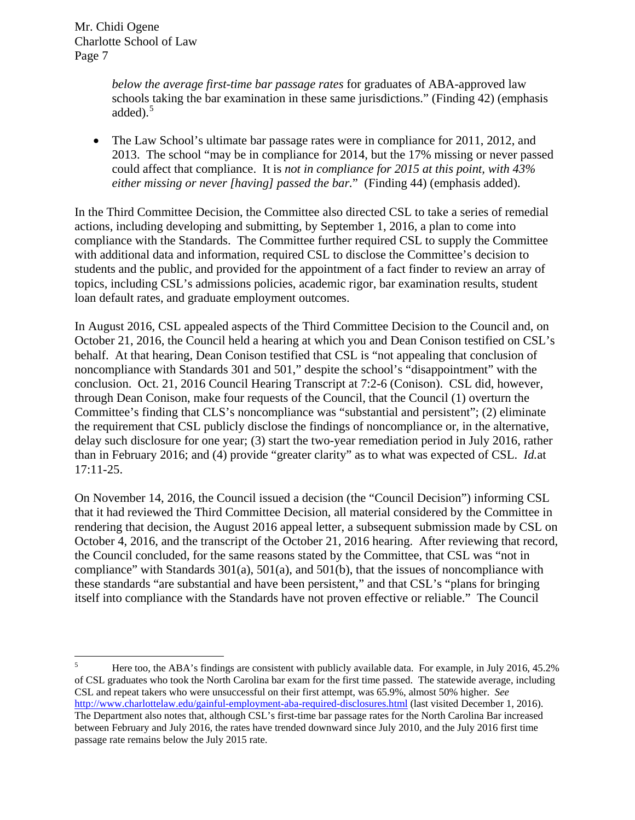> *below the average first-time bar passage rates* for graduates of ABA-approved law schools taking the bar examination in these same jurisdictions." (Finding 42) (emphasis added $^{5}$  $^{5}$  $^{5}$

• The Law School's ultimate bar passage rates were in compliance for 2011, 2012, and 2013. The school "may be in compliance for 2014, but the 17% missing or never passed could affect that compliance. It is *not in compliance for 2015 at this point, with 43% either missing or never [having] passed the bar.*" (Finding 44) (emphasis added).

In the Third Committee Decision, the Committee also directed CSL to take a series of remedial actions, including developing and submitting, by September 1, 2016, a plan to come into compliance with the Standards. The Committee further required CSL to supply the Committee with additional data and information, required CSL to disclose the Committee's decision to students and the public, and provided for the appointment of a fact finder to review an array of topics, including CSL's admissions policies, academic rigor, bar examination results, student loan default rates, and graduate employment outcomes.

In August 2016, CSL appealed aspects of the Third Committee Decision to the Council and, on October 21, 2016, the Council held a hearing at which you and Dean Conison testified on CSL's behalf. At that hearing, Dean Conison testified that CSL is "not appealing that conclusion of noncompliance with Standards 301 and 501," despite the school's "disappointment" with the conclusion. Oct. 21, 2016 Council Hearing Transcript at 7:2-6 (Conison). CSL did, however, through Dean Conison, make four requests of the Council, that the Council (1) overturn the Committee's finding that CLS's noncompliance was "substantial and persistent"; (2) eliminate the requirement that CSL publicly disclose the findings of noncompliance or, in the alternative, delay such disclosure for one year; (3) start the two-year remediation period in July 2016, rather than in February 2016; and (4) provide "greater clarity" as to what was expected of CSL. *Id.*at 17:11-25.

On November 14, 2016, the Council issued a decision (the "Council Decision") informing CSL that it had reviewed the Third Committee Decision, all material considered by the Committee in rendering that decision, the August 2016 appeal letter, a subsequent submission made by CSL on October 4, 2016, and the transcript of the October 21, 2016 hearing. After reviewing that record, the Council concluded, for the same reasons stated by the Committee, that CSL was "not in compliance" with Standards 301(a), 501(a), and 501(b), that the issues of noncompliance with these standards "are substantial and have been persistent," and that CSL's "plans for bringing itself into compliance with the Standards have not proven effective or reliable." The Council

<span id="page-6-0"></span><sup>&</sup>lt;sup>5</sup> Here too, the ABA's findings are consistent with publicly available data. For example, in July 2016, 45.2% of CSL graduates who took the North Carolina bar exam for the first time passed. The statewide average, including CSL and repeat takers who were unsuccessful on their first attempt, was 65.9%, almost 50% higher. *See*  <http://www.charlottelaw.edu/gainful-employment-aba-required-disclosures.html> (last visited December 1, 2016). The Department also notes that, although CSL's first-time bar passage rates for the North Carolina Bar increased between February and July 2016, the rates have trended downward since July 2010, and the July 2016 first time passage rate remains below the July 2015 rate.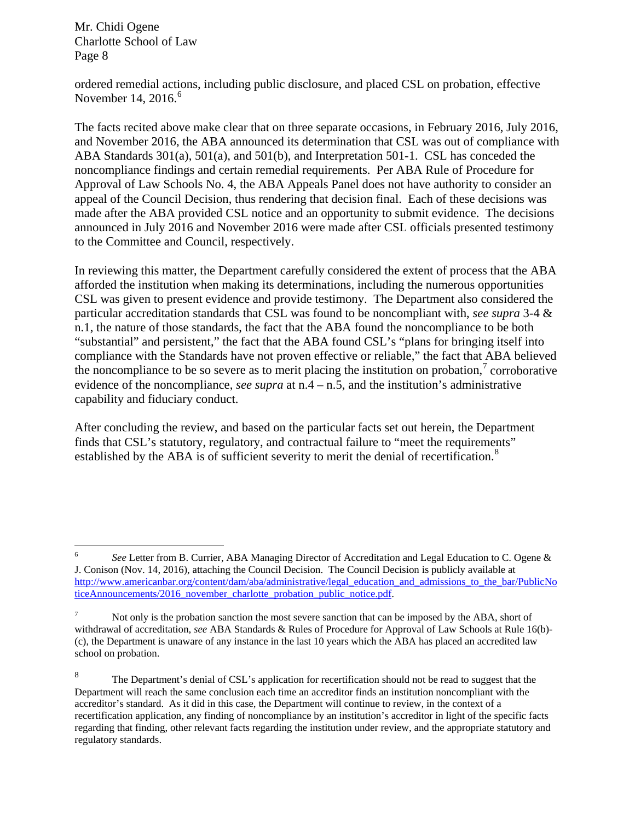ordered remedial actions, including public disclosure, and placed CSL on probation, effective November 14,  $2016<sup>6</sup>$  $2016<sup>6</sup>$  $2016<sup>6</sup>$ 

The facts recited above make clear that on three separate occasions, in February 2016, July 2016, and November 2016, the ABA announced its determination that CSL was out of compliance with ABA Standards 301(a), 501(a), and 501(b), and Interpretation 501-1. CSL has conceded the noncompliance findings and certain remedial requirements. Per ABA Rule of Procedure for Approval of Law Schools No. 4, the ABA Appeals Panel does not have authority to consider an appeal of the Council Decision, thus rendering that decision final. Each of these decisions was made after the ABA provided CSL notice and an opportunity to submit evidence. The decisions announced in July 2016 and November 2016 were made after CSL officials presented testimony to the Committee and Council, respectively.

In reviewing this matter, the Department carefully considered the extent of process that the ABA afforded the institution when making its determinations, including the numerous opportunities CSL was given to present evidence and provide testimony. The Department also considered the particular accreditation standards that CSL was found to be noncompliant with, *see supra* 3-4 & n.1, the nature of those standards, the fact that the ABA found the noncompliance to be both "substantial" and persistent," the fact that the ABA found CSL's "plans for bringing itself into compliance with the Standards have not proven effective or reliable," the fact that ABA believed the noncompliance to be so severe as to merit placing the institution on probation, $\alpha$  corroborative evidence of the noncompliance, *see supra* at n.4 – n.5, and the institution's administrative capability and fiduciary conduct.

After concluding the review, and based on the particular facts set out herein, the Department finds that CSL's statutory, regulatory, and contractual failure to "meet the requirements" established by the ABA is of sufficient severity to merit the denial of recertification.<sup>[8](#page-7-2)</sup>

<span id="page-7-0"></span> <sup>6</sup> *See* Letter from B. Currier, ABA Managing Director of Accreditation and Legal Education to C. Ogene & J. Conison (Nov. 14, 2016), attaching the Council Decision. The Council Decision is publicly available at [http://www.americanbar.org/content/dam/aba/administrative/legal\\_education\\_and\\_admissions\\_to\\_the\\_bar/PublicNo](http://www.americanbar.org/content/dam/aba/administrative/legal_education_and_admissions_to_the_bar/PublicNoticeAnnouncements/2016_november_charlotte_probation_public_notice.pdf) [ticeAnnouncements/2016\\_november\\_charlotte\\_probation\\_public\\_notice.pdf.](http://www.americanbar.org/content/dam/aba/administrative/legal_education_and_admissions_to_the_bar/PublicNoticeAnnouncements/2016_november_charlotte_probation_public_notice.pdf)

<span id="page-7-1"></span> $<sup>7</sup>$  Not only is the probation sanction the most severe sanction that can be imposed by the ABA, short of</sup> withdrawal of accreditation, *see* ABA Standards & Rules of Procedure for Approval of Law Schools at Rule 16(b)- (c), the Department is unaware of any instance in the last 10 years which the ABA has placed an accredited law school on probation.

<span id="page-7-2"></span><sup>&</sup>lt;sup>8</sup> The Department's denial of CSL's application for recertification should not be read to suggest that the Department will reach the same conclusion each time an accreditor finds an institution noncompliant with the accreditor's standard. As it did in this case, the Department will continue to review, in the context of a recertification application, any finding of noncompliance by an institution's accreditor in light of the specific facts regarding that finding, other relevant facts regarding the institution under review, and the appropriate statutory and regulatory standards.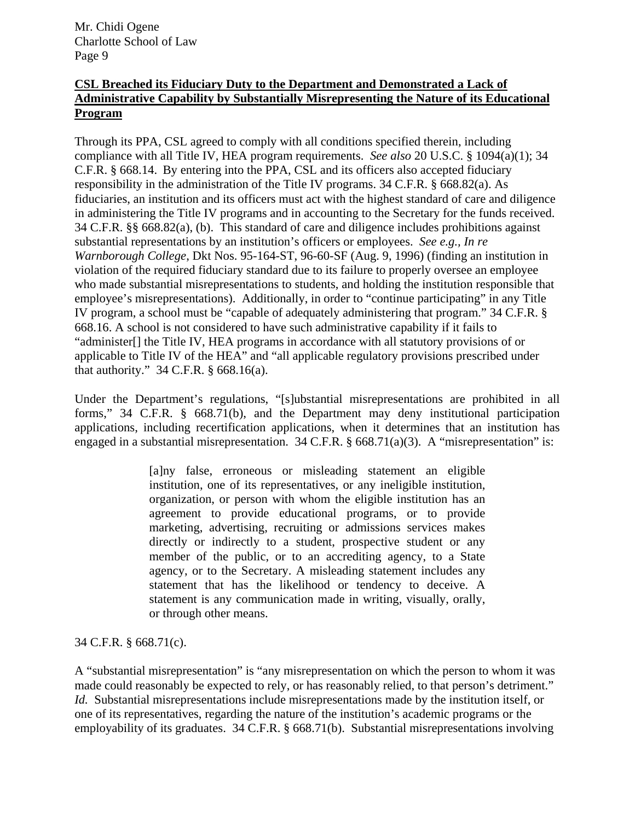## **CSL Breached its Fiduciary Duty to the Department and Demonstrated a Lack of Administrative Capability by Substantially Misrepresenting the Nature of its Educational Program**

Through its PPA, CSL agreed to comply with all conditions specified therein, including compliance with all Title IV, HEA program requirements. *See also* 20 U.S.C. § 1094(a)(1); 34 C.F.R. § 668.14. By entering into the PPA, CSL and its officers also accepted fiduciary responsibility in the administration of the Title IV programs. 34 C.F.R. § 668.82(a). As fiduciaries, an institution and its officers must act with the highest standard of care and diligence in administering the Title IV programs and in accounting to the Secretary for the funds received. 34 C.F.R. §§ 668.82(a), (b). This standard of care and diligence includes prohibitions against substantial representations by an institution's officers or employees. *See e.g., In re Warnborough College*, Dkt Nos. 95-164-ST, 96-60-SF (Aug. 9, 1996) (finding an institution in violation of the required fiduciary standard due to its failure to properly oversee an employee who made substantial misrepresentations to students, and holding the institution responsible that employee's misrepresentations). Additionally, in order to "continue participating" in any Title IV program, a school must be "capable of adequately administering that program." 34 C.F.R. § 668.16. A school is not considered to have such administrative capability if it fails to "administer[] the Title IV, HEA programs in accordance with all statutory provisions of or applicable to Title IV of the HEA" and "all applicable regulatory provisions prescribed under that authority."  $34$  C.F.R. § 668.16(a).

Under the Department's regulations, "[s]ubstantial misrepresentations are prohibited in all forms," 34 C.F.R. § 668.71(b), and the Department may deny institutional participation applications, including recertification applications, when it determines that an institution has engaged in a substantial misrepresentation. 34 C.F.R. § 668.71(a)(3). A "misrepresentation" is:

> [a]ny false, erroneous or misleading statement an eligible institution, one of its representatives, or any ineligible institution, organization, or person with whom the eligible institution has an agreement to provide educational programs, or to provide marketing, advertising, recruiting or admissions services makes directly or indirectly to a student, prospective student or any member of the public, or to an accrediting agency, to a State agency, or to the Secretary. A misleading statement includes any statement that has the likelihood or tendency to deceive. A statement is any communication made in writing, visually, orally, or through other means.

34 C.F.R. § 668.71(c).

A "substantial misrepresentation" is "any misrepresentation on which the person to whom it was made could reasonably be expected to rely, or has reasonably relied, to that person's detriment." *Id.* Substantial misrepresentations include misrepresentations made by the institution itself, or one of its representatives, regarding the nature of the institution's academic programs or the employability of its graduates. 34 C.F.R. § 668.71(b). Substantial misrepresentations involving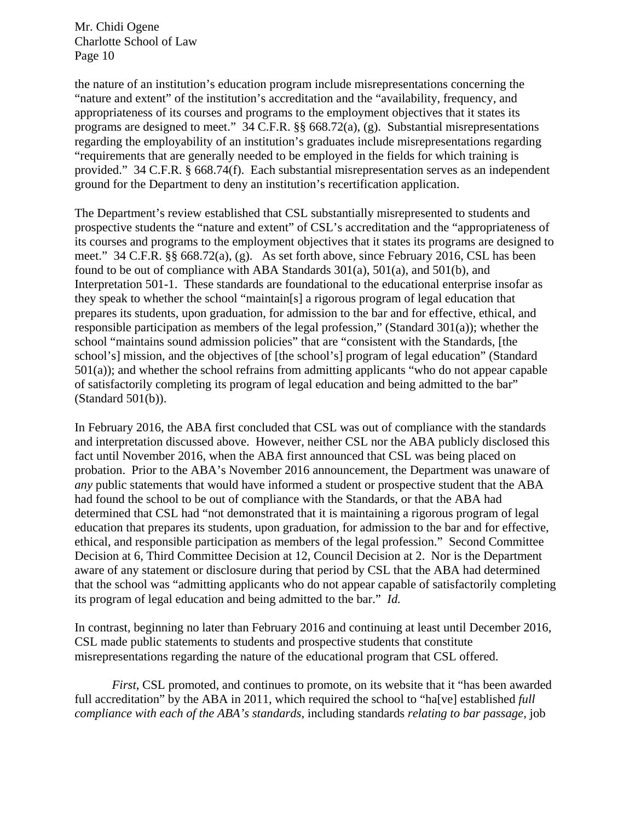the nature of an institution's education program include misrepresentations concerning the "nature and extent" of the institution's accreditation and the "availability, frequency, and appropriateness of its courses and programs to the employment objectives that it states its programs are designed to meet." 34 C.F.R. §§ 668.72(a), (g). Substantial misrepresentations regarding the employability of an institution's graduates include misrepresentations regarding "requirements that are generally needed to be employed in the fields for which training is provided." 34 C.F.R. § 668.74(f). Each substantial misrepresentation serves as an independent ground for the Department to deny an institution's recertification application.

The Department's review established that CSL substantially misrepresented to students and prospective students the "nature and extent" of CSL's accreditation and the "appropriateness of its courses and programs to the employment objectives that it states its programs are designed to meet." 34 C.F.R. §§ 668.72(a), (g). As set forth above, since February 2016, CSL has been found to be out of compliance with ABA Standards 301(a), 501(a), and 501(b), and Interpretation 501-1. These standards are foundational to the educational enterprise insofar as they speak to whether the school "maintain[s] a rigorous program of legal education that prepares its students, upon graduation, for admission to the bar and for effective, ethical, and responsible participation as members of the legal profession," (Standard 301(a)); whether the school "maintains sound admission policies" that are "consistent with the Standards, [the school's] mission, and the objectives of [the school's] program of legal education" (Standard 501(a)); and whether the school refrains from admitting applicants "who do not appear capable of satisfactorily completing its program of legal education and being admitted to the bar" (Standard 501(b)).

In February 2016, the ABA first concluded that CSL was out of compliance with the standards and interpretation discussed above. However, neither CSL nor the ABA publicly disclosed this fact until November 2016, when the ABA first announced that CSL was being placed on probation. Prior to the ABA's November 2016 announcement, the Department was unaware of *any* public statements that would have informed a student or prospective student that the ABA had found the school to be out of compliance with the Standards, or that the ABA had determined that CSL had "not demonstrated that it is maintaining a rigorous program of legal education that prepares its students, upon graduation, for admission to the bar and for effective, ethical, and responsible participation as members of the legal profession." Second Committee Decision at 6, Third Committee Decision at 12, Council Decision at 2. Nor is the Department aware of any statement or disclosure during that period by CSL that the ABA had determined that the school was "admitting applicants who do not appear capable of satisfactorily completing its program of legal education and being admitted to the bar." *Id.*

In contrast, beginning no later than February 2016 and continuing at least until December 2016, CSL made public statements to students and prospective students that constitute misrepresentations regarding the nature of the educational program that CSL offered.

*First*, CSL promoted, and continues to promote, on its website that it "has been awarded full accreditation" by the ABA in 2011, which required the school to "ha[ve] established *full compliance with each of the ABA's standards*, including standards *relating to bar passage*, job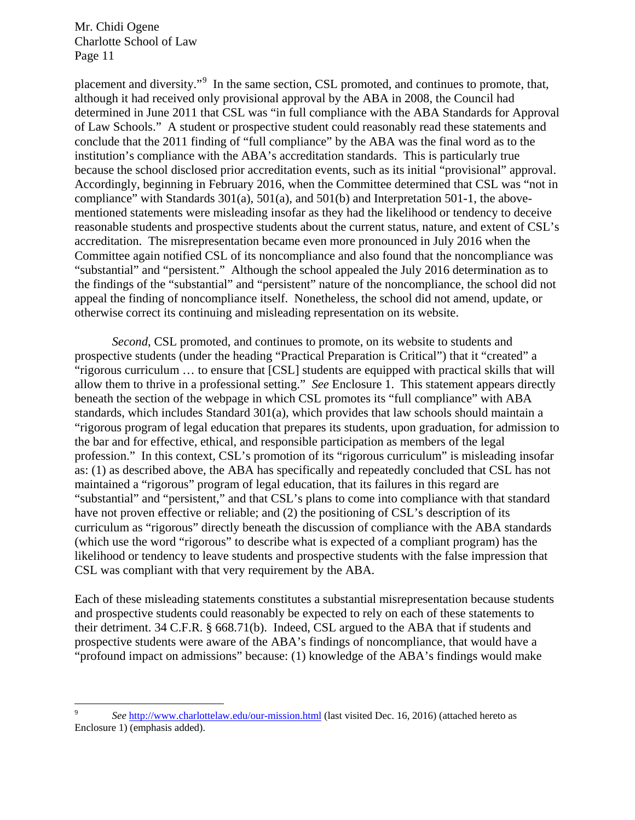placement and diversity."<sup>[9](#page-10-0)</sup> In the same section, CSL promoted, and continues to promote, that, although it had received only provisional approval by the ABA in 2008, the Council had determined in June 2011 that CSL was "in full compliance with the ABA Standards for Approval of Law Schools." A student or prospective student could reasonably read these statements and conclude that the 2011 finding of "full compliance" by the ABA was the final word as to the institution's compliance with the ABA's accreditation standards. This is particularly true because the school disclosed prior accreditation events, such as its initial "provisional" approval. Accordingly, beginning in February 2016, when the Committee determined that CSL was "not in compliance" with Standards  $301(a)$ ,  $501(a)$ , and  $501(b)$  and Interpretation  $501-1$ , the abovementioned statements were misleading insofar as they had the likelihood or tendency to deceive reasonable students and prospective students about the current status, nature, and extent of CSL's accreditation. The misrepresentation became even more pronounced in July 2016 when the Committee again notified CSL of its noncompliance and also found that the noncompliance was "substantial" and "persistent." Although the school appealed the July 2016 determination as to the findings of the "substantial" and "persistent" nature of the noncompliance, the school did not appeal the finding of noncompliance itself. Nonetheless, the school did not amend, update, or otherwise correct its continuing and misleading representation on its website.

*Second*, CSL promoted, and continues to promote, on its website to students and prospective students (under the heading "Practical Preparation is Critical") that it "created" a "rigorous curriculum … to ensure that [CSL] students are equipped with practical skills that will allow them to thrive in a professional setting." *See* Enclosure 1. This statement appears directly beneath the section of the webpage in which CSL promotes its "full compliance" with ABA standards, which includes Standard 301(a), which provides that law schools should maintain a "rigorous program of legal education that prepares its students, upon graduation, for admission to the bar and for effective, ethical, and responsible participation as members of the legal profession." In this context, CSL's promotion of its "rigorous curriculum" is misleading insofar as: (1) as described above, the ABA has specifically and repeatedly concluded that CSL has not maintained a "rigorous" program of legal education, that its failures in this regard are "substantial" and "persistent," and that CSL's plans to come into compliance with that standard have not proven effective or reliable; and (2) the positioning of CSL's description of its curriculum as "rigorous" directly beneath the discussion of compliance with the ABA standards (which use the word "rigorous" to describe what is expected of a compliant program) has the likelihood or tendency to leave students and prospective students with the false impression that CSL was compliant with that very requirement by the ABA.

Each of these misleading statements constitutes a substantial misrepresentation because students and prospective students could reasonably be expected to rely on each of these statements to their detriment. 34 C.F.R. § 668.71(b). Indeed, CSL argued to the ABA that if students and prospective students were aware of the ABA's findings of noncompliance, that would have a "profound impact on admissions" because: (1) knowledge of the ABA's findings would make

<span id="page-10-0"></span> <sup>9</sup> *See* <http://www.charlottelaw.edu/our-mission.html> (last visited Dec. 16, 2016) (attached hereto as Enclosure 1) (emphasis added).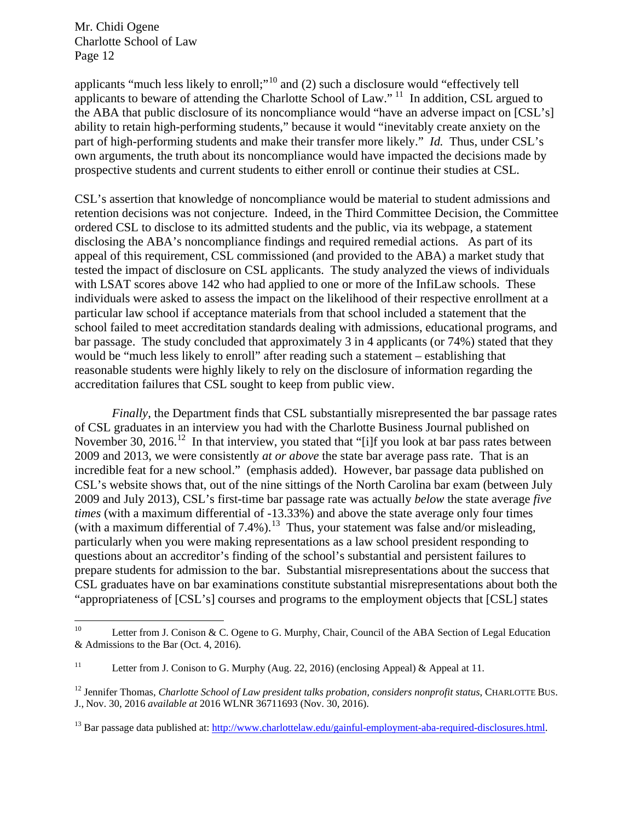applicants "much less likely to enroll;"<sup>[10](#page-11-0)</sup> and (2) such a disclosure would "effectively tell applicants to beware of attending the Charlotte School of Law."<sup>[11](#page-11-1)</sup> In addition, CSL argued to the ABA that public disclosure of its noncompliance would "have an adverse impact on [CSL's] ability to retain high-performing students," because it would "inevitably create anxiety on the part of high-performing students and make their transfer more likely." *Id.* Thus, under CSL's own arguments, the truth about its noncompliance would have impacted the decisions made by prospective students and current students to either enroll or continue their studies at CSL.

CSL's assertion that knowledge of noncompliance would be material to student admissions and retention decisions was not conjecture. Indeed, in the Third Committee Decision, the Committee ordered CSL to disclose to its admitted students and the public, via its webpage, a statement disclosing the ABA's noncompliance findings and required remedial actions. As part of its appeal of this requirement, CSL commissioned (and provided to the ABA) a market study that tested the impact of disclosure on CSL applicants. The study analyzed the views of individuals with LSAT scores above 142 who had applied to one or more of the InfiLaw schools. These individuals were asked to assess the impact on the likelihood of their respective enrollment at a particular law school if acceptance materials from that school included a statement that the school failed to meet accreditation standards dealing with admissions, educational programs, and bar passage. The study concluded that approximately 3 in 4 applicants (or 74%) stated that they would be "much less likely to enroll" after reading such a statement – establishing that reasonable students were highly likely to rely on the disclosure of information regarding the accreditation failures that CSL sought to keep from public view.

*Finally*, the Department finds that CSL substantially misrepresented the bar passage rates of CSL graduates in an interview you had with the Charlotte Business Journal published on November 30, 2016.<sup>[12](#page-11-2)</sup> In that interview, you stated that "[i]f you look at bar pass rates between 2009 and 2013, we were consistently *at or above* the state bar average pass rate. That is an incredible feat for a new school." (emphasis added). However, bar passage data published on CSL's website shows that, out of the nine sittings of the North Carolina bar exam (between July 2009 and July 2013), CSL's first-time bar passage rate was actually *below* the state average *five times* (with a maximum differential of -13.33%) and above the state average only four times (with a maximum differential of 7.4%).<sup>[13](#page-11-3)</sup> Thus, your statement was false and/or misleading, particularly when you were making representations as a law school president responding to questions about an accreditor's finding of the school's substantial and persistent failures to prepare students for admission to the bar. Substantial misrepresentations about the success that CSL graduates have on bar examinations constitute substantial misrepresentations about both the "appropriateness of [CSL's] courses and programs to the employment objects that [CSL] states

<span id="page-11-0"></span><sup>&</sup>lt;sup>10</sup> Letter from J. Conison & C. Ogene to G. Murphy, Chair, Council of the ABA Section of Legal Education & Admissions to the Bar (Oct. 4, 2016).

<span id="page-11-1"></span><sup>&</sup>lt;sup>11</sup> Letter from J. Conison to G. Murphy (Aug. 22, 2016) (enclosing Appeal) & Appeal at 11.

<span id="page-11-2"></span><sup>&</sup>lt;sup>12</sup> Jennifer Thomas, *Charlotte School of Law president talks probation, considers nonprofit status*, CHARLOTTE BUS. J., Nov. 30, 2016 *available at* 2016 WLNR 36711693 (Nov. 30, 2016).

<span id="page-11-3"></span><sup>&</sup>lt;sup>13</sup> Bar passage data published at[: http://www.charlottelaw.edu/gainful-employment-aba-required-disclosures.html.](http://www.charlottelaw.edu/gainful-employment-aba-required-disclosures.html)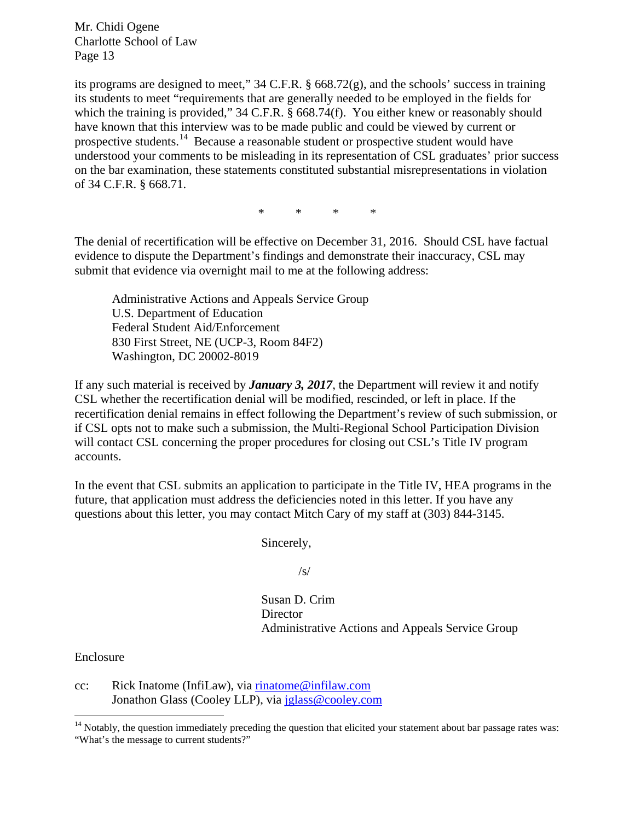its programs are designed to meet," 34 C.F.R. § 668.72(g), and the schools' success in training its students to meet "requirements that are generally needed to be employed in the fields for which the training is provided," 34 C.F.R. § 668.74(f). You either knew or reasonably should have known that this interview was to be made public and could be viewed by current or prospective students.[14](#page-12-0) Because a reasonable student or prospective student would have understood your comments to be misleading in its representation of CSL graduates' prior success on the bar examination, these statements constituted substantial misrepresentations in violation of 34 C.F.R. § 668.71.

\* \* \* \*

The denial of recertification will be effective on December 31, 2016. Should CSL have factual evidence to dispute the Department's findings and demonstrate their inaccuracy, CSL may submit that evidence via overnight mail to me at the following address:

Administrative Actions and Appeals Service Group U.S. Department of Education Federal Student Aid/Enforcement 830 First Street, NE (UCP-3, Room 84F2) Washington, DC 20002-8019

If any such material is received by *January 3, 2017*, the Department will review it and notify CSL whether the recertification denial will be modified, rescinded, or left in place. If the recertification denial remains in effect following the Department's review of such submission, or if CSL opts not to make such a submission, the Multi-Regional School Participation Division will contact CSL concerning the proper procedures for closing out CSL's Title IV program accounts.

In the event that CSL submits an application to participate in the Title IV, HEA programs in the future, that application must address the deficiencies noted in this letter. If you have any questions about this letter, you may contact Mitch Cary of my staff at (303) 844-3145.

Sincerely,

/s/

Susan D. Crim **Director** Administrative Actions and Appeals Service Group

Enclosure

cc: Rick Inatome (InfiLaw), via [rinatome@infilaw.com](mailto:rinatome@infilaw.com) Jonathon Glass (Cooley LLP), via [jglass@cooley.com](mailto:jglass@cooley.com)

<span id="page-12-0"></span><sup>&</sup>lt;sup>14</sup> Notably, the question immediately preceding the question that elicited your statement about bar passage rates was: "What's the message to current students?"